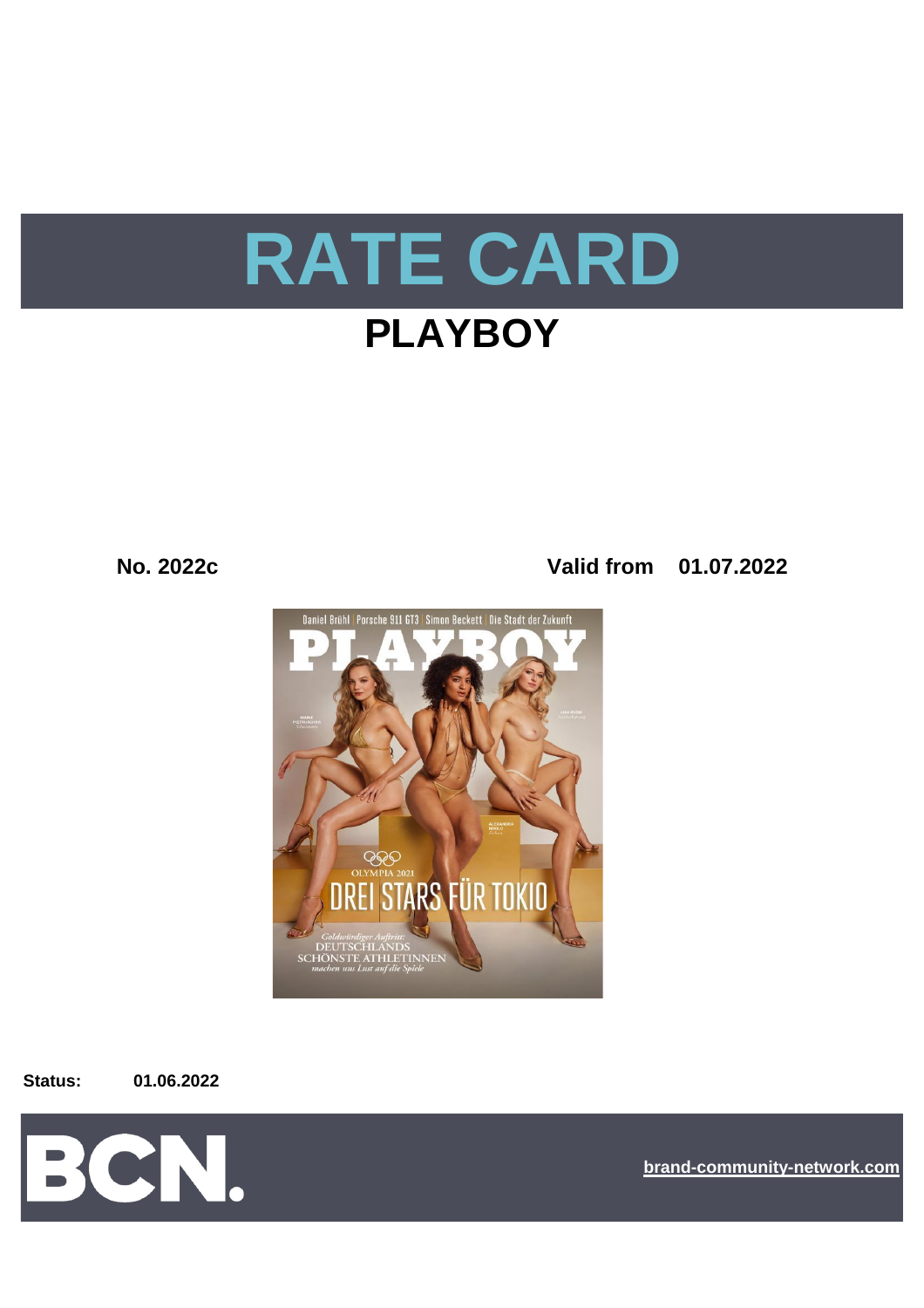

# **PLAYBOY**

**No. 2022c Valid from 01.07.2022**



**Status: 01.06.2022**



**[bra](https://bcn.burda.com/)nd-community-network.com**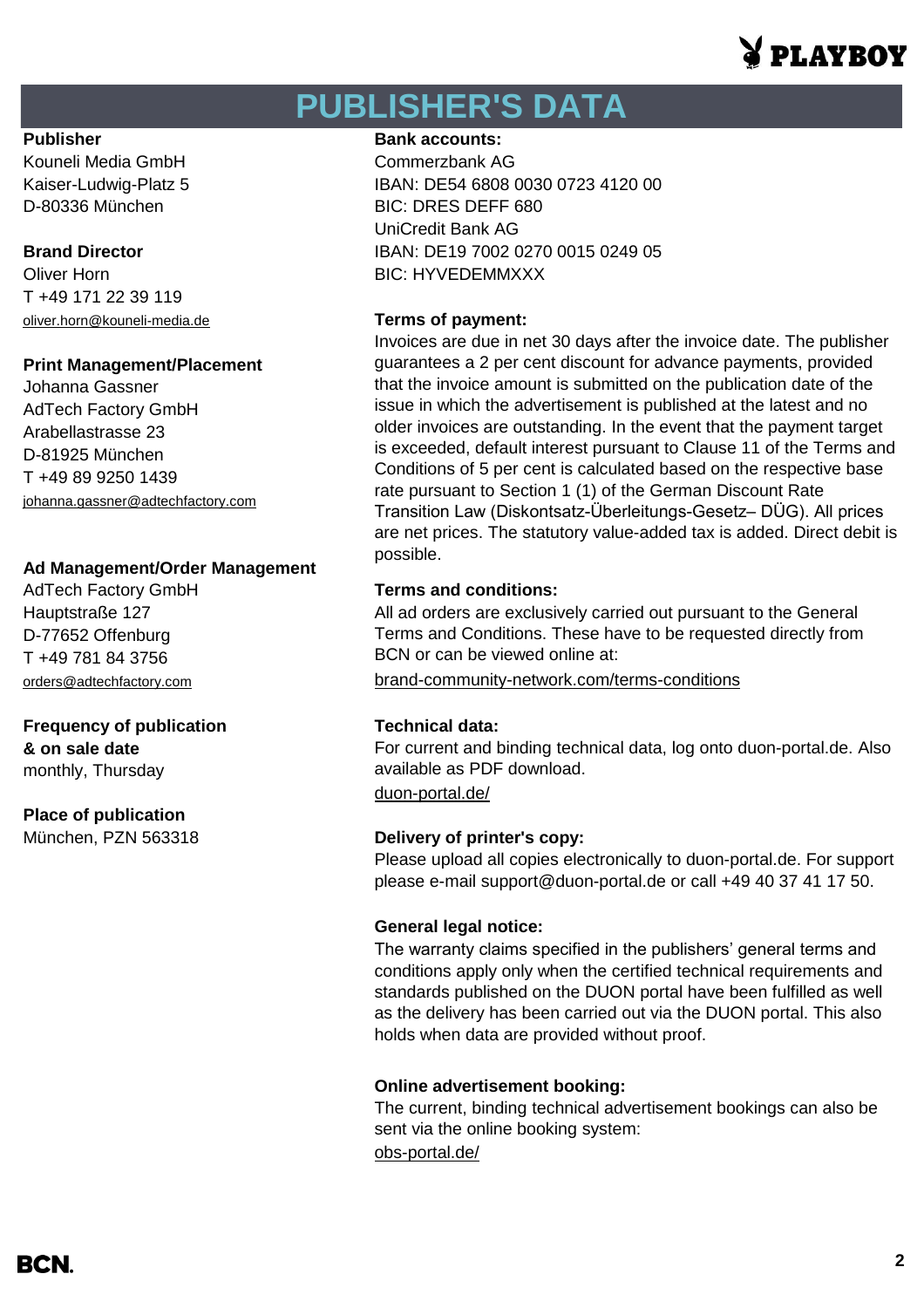# **PI.AVROV**

# **PUBLISHER'S DATA**

Kouneli Media GmbH Commerzbank AG

Oliver Horn **BIC: HYVEDEMMXXX** T +49 171 22 39 119 [oliver.horn@kouneli-media.de](mailto:oliver.horn@kouneli-media.de) **Terms of payment:**

### **Print Management/Placement**

Johanna Gassner AdTech Factory GmbH Arabellastrasse 23 D-81925 München T +49 89 9250 1439 [johanna.gassner@adtechfactory.com](mailto:johanna.gassner@adtechfactory.com)

### **Ad Management/Order Management**

Hauptstraße 127 D-77652 Offenburg T +49 781 84 3756

## **Frequency of publication Technical data: & on sale date** monthly, Thursday

**Place of publication** München, PZN 563318 **Delivery of printer's copy:**

### **Publisher Bank accounts: Bank accounts:**

Kaiser-Ludwig-Platz 5 IBAN: DE54 6808 0030 0723 4120 00 D-80336 München BIC: DRES DEFF 680 UniCredit Bank AG **Brand Director IBAN: DE19 7002 0270 0015 0249 05** 

Invoices are due in net 30 days after the invoice date. The publisher guarantees a 2 per cent discount for advance payments, provided that the invoice amount is submitted on the publication date of the issue in which the advertisement is published at the latest and no older invoices are outstanding. In the event that the payment target is exceeded, default interest pursuant to Clause 11 of the Terms and Conditions of 5 per cent is calculated based on the respective base rate pursuant to Section 1 (1) of the German Discount Rate Transition Law (Diskontsatz-Überleitungs-Gesetz– DÜG). All prices are net prices. The statutory value-added tax is added. Direct debit is possible.

## AdTech Factory GmbH **Terms and conditions:**

All ad orders are exclusively carried out pursuant to the General Terms and Conditions. These have to be requested directly from BCN or can be viewed online at:

[orders@adtechfactory.com](mailto:orders@adtechfactory.com) [brand-community-network.com/terms-conditions](https://bcn.burda.com/terms-conditions)

[duon-portal.de/](https://duon-portal.de/) For current and binding technical data, log onto duon-portal.de. Also available as PDF download.

Please upload all copies electronically to duon-portal.de. For support please e-mail support@duon-portal.de or call +49 40 37 41 17 50.

### **General legal notice:**

The warranty claims specified in the publishers' general terms and conditions apply only when the certified technical requirements and standards published on the DUON portal have been fulfilled as well as the delivery has been carried out via the DUON portal. This also holds when data are provided without proof.

### **Online advertisement booking:**

The current, binding technical advertisement bookings can also be sent via the online booking system:

[obs-portal.de/](https://www.obs-portal.de/)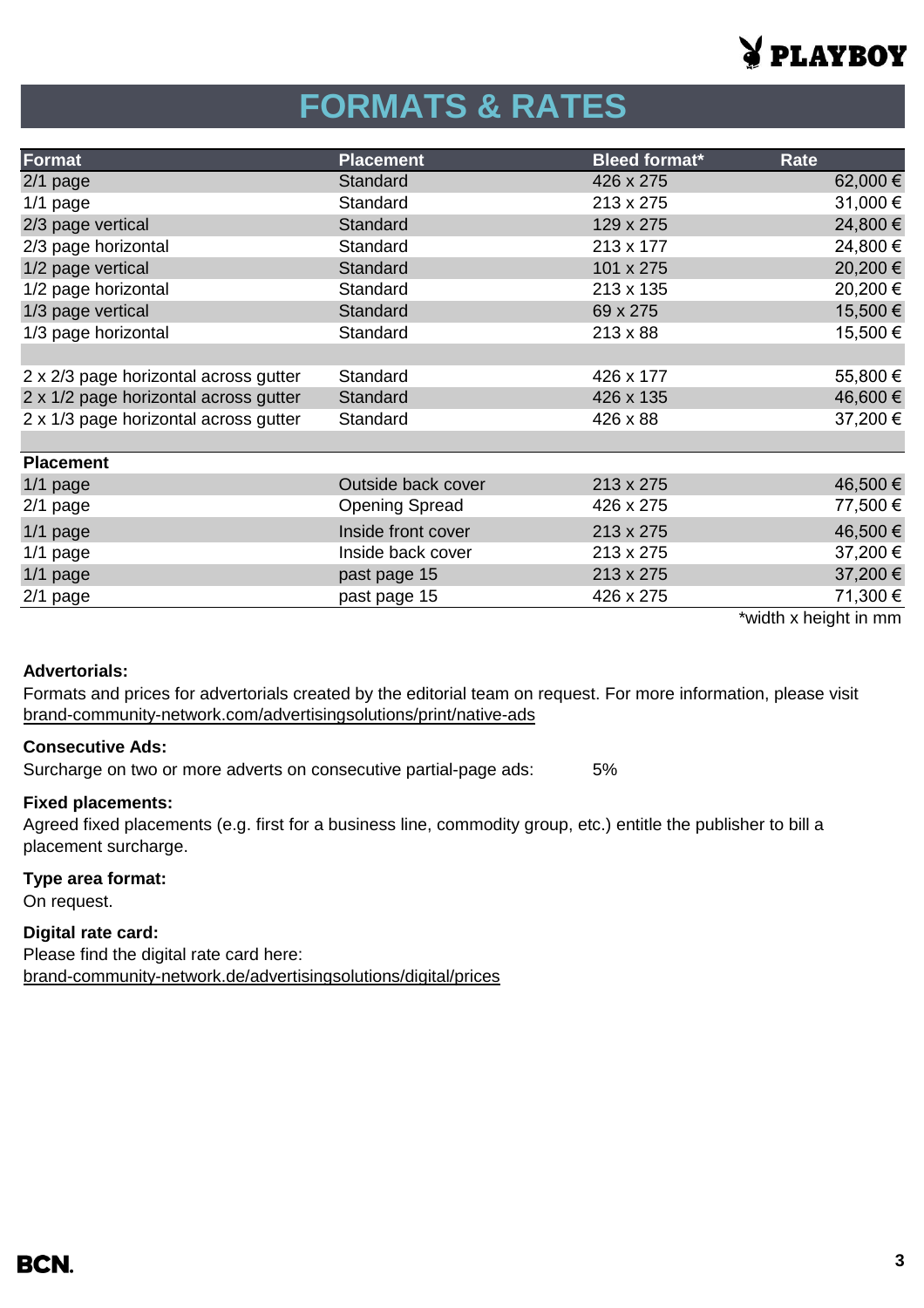

# **FORMATS & RATES**

| Format                                | <b>Placement</b>      | <b>Bleed format*</b> | Rate     |
|---------------------------------------|-----------------------|----------------------|----------|
| $2/1$ page                            | Standard              | 426 x 275            | 62,000 € |
| $1/1$ page                            | Standard              | 213 x 275            | 31,000€  |
| 2/3 page vertical                     | Standard              | 129 x 275            | 24,800 € |
| 2/3 page horizontal                   | Standard              | 213 x 177            | 24,800 € |
| 1/2 page vertical                     | Standard              | 101 x 275            | 20,200€  |
| 1/2 page horizontal                   | Standard              | 213 x 135            | 20,200€  |
| 1/3 page vertical                     | <b>Standard</b>       | 69 x 275             | 15,500€  |
| 1/3 page horizontal                   | Standard              | $213 \times 88$      | 15,500 € |
|                                       |                       |                      |          |
| 2 x 2/3 page horizontal across gutter | Standard              | 426 x 177            | 55,800€  |
| 2 x 1/2 page horizontal across gutter | Standard              | 426 x 135            | 46,600€  |
| 2 x 1/3 page horizontal across gutter | Standard              | 426 x 88             | 37,200€  |
|                                       |                       |                      |          |
| <b>Placement</b>                      |                       |                      |          |
| $1/1$ page                            | Outside back cover    | 213 x 275            | 46,500 € |
| $2/1$ page                            | <b>Opening Spread</b> | 426 x 275            | 77,500 € |
| $1/1$ page                            | Inside front cover    | 213 x 275            | 46,500 € |
| $1/1$ page                            | Inside back cover     | 213 x 275            | 37,200 € |
| $1/1$ page                            | past page 15          | 213 x 275            | 37,200 € |
| $2/1$ page                            | past page 15          | 426 x 275            | 71,300 € |

\*width x height in mm

### **Advertorials:**

[brand-community-network.com/advertisin](https://bcn.burda.com/advertisingsolutions/print/native-ads)gsolutions/print/native-ads Formats and prices for advertorials created by the editorial team on request. For more information, please visit

### **Consecutive Ads:**

Surcharge on two or more adverts on consecutive partial-page ads: 5%

## **Fixed placements:**

Agreed fixed placements (e.g. first for a business line, commodity group, etc.) entitle the publisher to bill a placement surcharge.

## **Type area format:**

On request.

## **Digital rate card:**

Please find the digital rate card here: [brand-community-network.de/advertisingsolutions/digital/prices](https://bcn.burda.com/advertisingsolutions/digital/prices)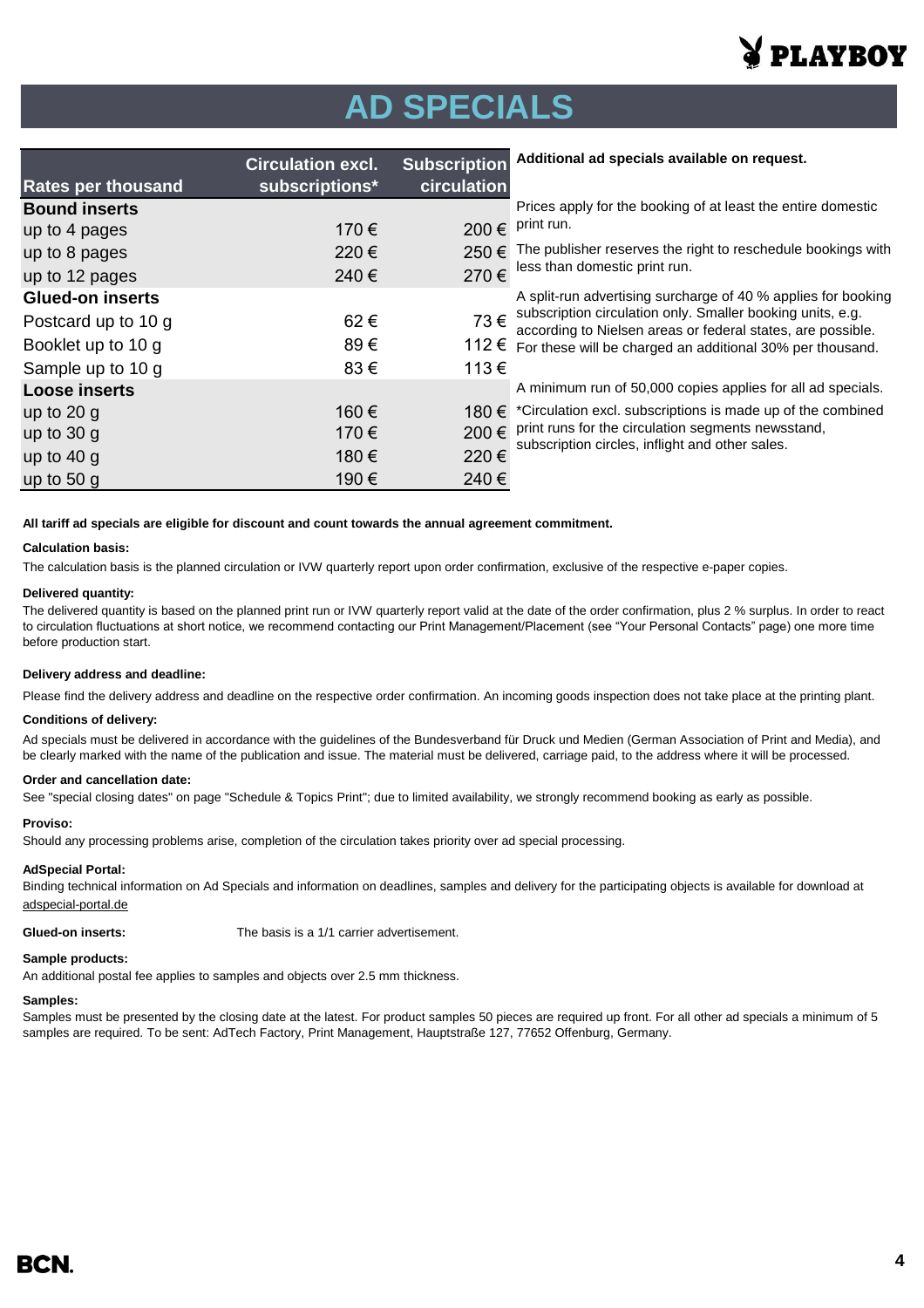

# **AD SPECIALS**

|                           | <b>Circulation excl.</b> | <b>Subscription</b> | Additional ad specials available on request.                                                                              |
|---------------------------|--------------------------|---------------------|---------------------------------------------------------------------------------------------------------------------------|
| <b>Rates per thousand</b> | subscriptions*           | circulation         |                                                                                                                           |
| <b>Bound inserts</b>      |                          |                     | Prices apply for the booking of at least the entire domestic                                                              |
| up to 4 pages             | 170 €                    | 200€                | print run.                                                                                                                |
| up to 8 pages             | 220€                     | 250 €               | The publisher reserves the right to reschedule bookings with                                                              |
| up to 12 pages            | 240€                     | 270€                | less than domestic print run.                                                                                             |
| <b>Glued-on inserts</b>   |                          |                     | A split-run advertising surcharge of 40 % applies for booking                                                             |
| Postcard up to 10 g       | 62€                      | 73€                 | subscription circulation only. Smaller booking units, e.g.<br>according to Nielsen areas or federal states, are possible. |
| Booklet up to 10 g        | 89€                      | 112 €               | For these will be charged an additional 30% per thousand.                                                                 |
| Sample up to 10 g         | 83€                      | 113€                |                                                                                                                           |
| <b>Loose inserts</b>      |                          |                     | A minimum run of 50,000 copies applies for all ad specials.                                                               |
| up to $20 g$              | 160€                     | 180 €               | *Circulation excl. subscriptions is made up of the combined                                                               |
| up to $30$ g              | 170 €                    | 200€                | print runs for the circulation segments newsstand,<br>subscription circles, inflight and other sales.                     |
| up to $40 g$              | 180 €                    | 220€                |                                                                                                                           |
| up to $50q$               | 190€                     | 240€                |                                                                                                                           |

**All tariff ad specials are eligible for discount and count towards the annual agreement commitment.**

#### **Calculation basis:**

The calculation basis is the planned circulation or IVW quarterly report upon order confirmation, exclusive of the respective e-paper copies.

#### **Delivered quantity:**

The delivered quantity is based on the planned print run or IVW quarterly report valid at the date of the order confirmation, plus 2 % surplus. In order to react to circulation fluctuations at short notice, we recommend contacting our Print Management/Placement (see "Your Personal Contacts" page) one more time before production start.

#### **Delivery address and deadline:**

Please find the delivery address and deadline on the respective order confirmation. An incoming goods inspection does not take place at the printing plant.

#### **Conditions of delivery:**

Ad specials must be delivered in accordance with the guidelines of the Bundesverband für Druck und Medien (German Association of Print and Media), and be clearly marked with the name of the publication and issue. The material must be delivered, carriage paid, to the address where it will be processed.

#### **Order and cancellation date:**

See "special closing dates" on page "Schedule & Topics Print"; due to limited availability, we strongly recommend booking as early as possible.

#### **Proviso:**

Should any processing problems arise, completion of the circulation takes priority over ad special processing.

#### **AdSpecial Portal:**

adspecial-portal.de Binding technical information on Ad Specials and information on deadlines, samples and delivery for the participating objects is available for download at

#### **Glued-on inserts:** The basis is a 1/1 carrier advertisement.

#### **Sample products:**

An additional postal fee applies to samples and objects over 2.5 mm thickness.

#### **Samples:**

Samples must be presented by the closing date at the latest. For product samples 50 pieces are required up front. For all other ad specials a minimum of 5 samples are required. To be sent: AdTech Factory, Print Management, Hauptstraße 127, 77652 Offenburg, Germany.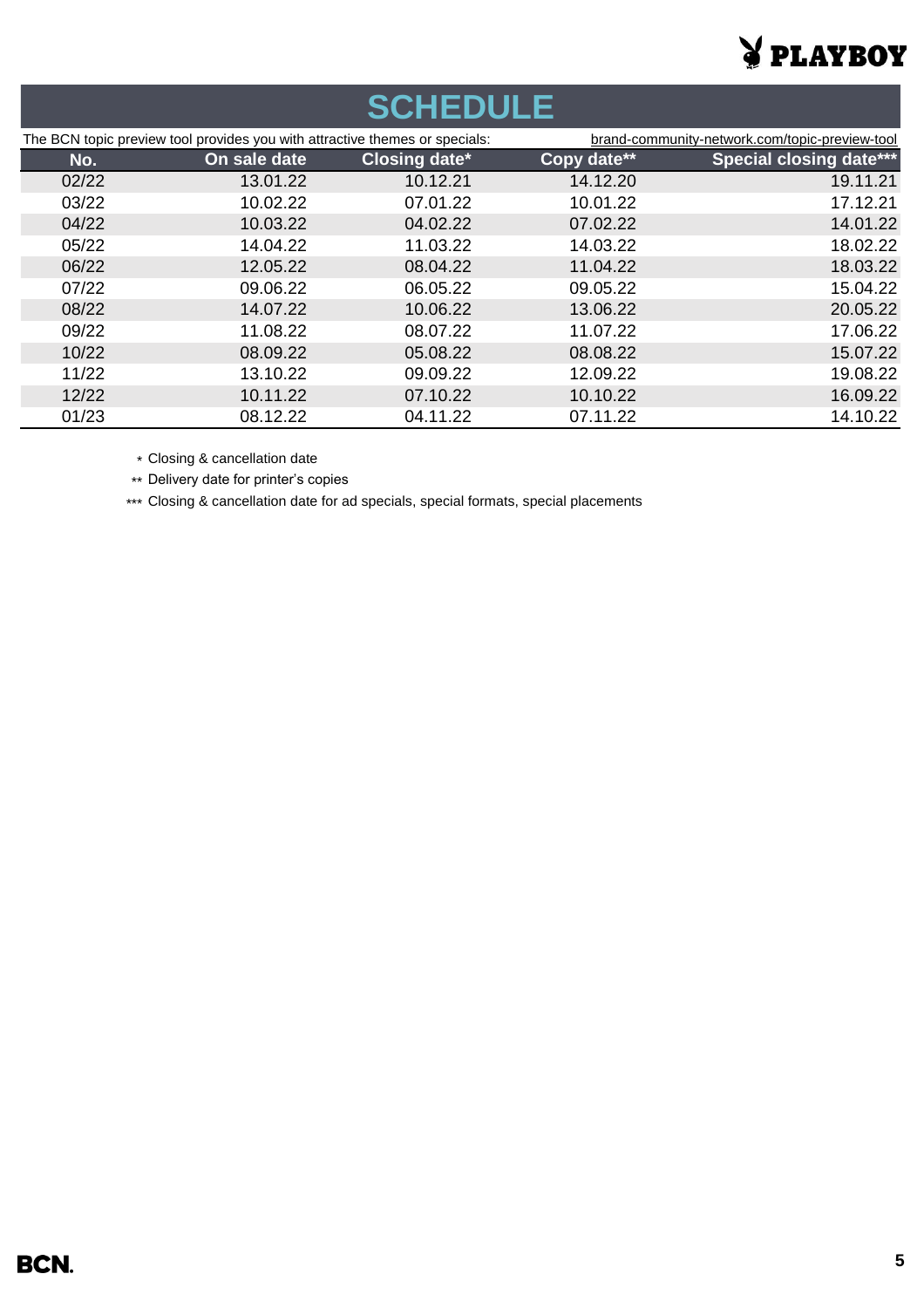# **VPLAYBOY**

| <b>SCHEDULE</b> |                                                                             |                      |             |                                                |  |
|-----------------|-----------------------------------------------------------------------------|----------------------|-------------|------------------------------------------------|--|
|                 | The BCN topic preview tool provides you with attractive themes or specials: |                      |             | brand-community-network.com/topic-preview-tool |  |
| No.             | On sale date                                                                | <b>Closing date*</b> | Copy date** | <b>Special closing date***</b>                 |  |
| 02/22           | 13.01.22                                                                    | 10.12.21             | 14.12.20    | 19.11.21                                       |  |
| 03/22           | 10.02.22                                                                    | 07.01.22             | 10.01.22    | 17.12.21                                       |  |
| 04/22           | 10.03.22                                                                    | 04.02.22             | 07.02.22    | 14.01.22                                       |  |
| 05/22           | 14.04.22                                                                    | 11.03.22             | 14.03.22    | 18.02.22                                       |  |
| 06/22           | 12.05.22                                                                    | 08.04.22             | 11.04.22    | 18.03.22                                       |  |
| 07/22           | 09.06.22                                                                    | 06.05.22             | 09.05.22    | 15.04.22                                       |  |
| 08/22           | 14.07.22                                                                    | 10.06.22             | 13.06.22    | 20.05.22                                       |  |
| 09/22           | 11.08.22                                                                    | 08.07.22             | 11.07.22    | 17.06.22                                       |  |
| 10/22           | 08.09.22                                                                    | 05.08.22             | 08.08.22    | 15.07.22                                       |  |
| 11/22           | 13.10.22                                                                    | 09.09.22             | 12.09.22    | 19.08.22                                       |  |
| 12/22           | 10.11.22                                                                    | 07.10.22             | 10.10.22    | 16.09.22                                       |  |
| 01/23           | 08.12.22                                                                    | 04.11.22             | 07.11.22    | 14.10.22                                       |  |

\* Closing & cancellation date

\*\* Delivery date for printer's copies

\*\*\* Closing & cancellation date for ad specials, special formats, special placements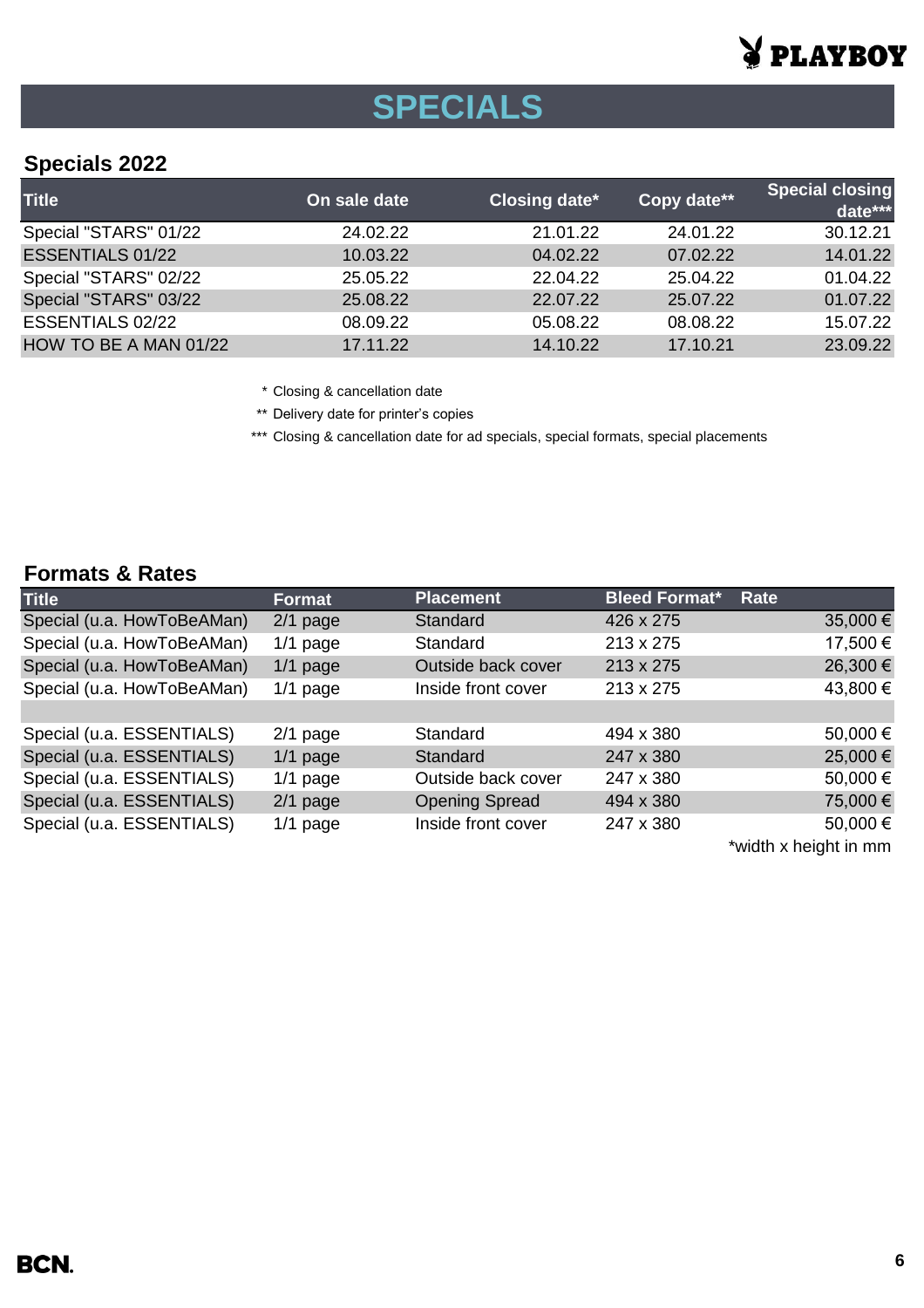# PLAYBOY

# **SPECIALS**

# **Specials 2022**

| <b>Title</b>            | On sale date | Closing date* | Copy date** | Special closing<br>date*** |
|-------------------------|--------------|---------------|-------------|----------------------------|
| Special "STARS" 01/22   | 24.02.22     | 21.01.22      | 24.01.22    | 30.12.21                   |
| <b>ESSENTIALS 01/22</b> | 10.03.22     | 04.02.22      | 07.02.22    | 14.01.22                   |
| Special "STARS" 02/22   | 25.05.22     | 22.04.22      | 25.04.22    | 01.04.22                   |
| Special "STARS" 03/22   | 25.08.22     | 22.07.22      | 25.07.22    | 01.07.22                   |
| ESSENTIALS 02/22        | 08.09.22     | 05.08.22      | 08.08.22    | 15.07.22                   |
| HOW TO BE A MAN 01/22   | 17.11.22     | 14.10.22      | 17.10.21    | 23.09.22                   |

\* Closing & cancellation date

\*\* Delivery date for printer's copies

\*\*\* Closing & cancellation date for ad specials, special formats, special placements

## **Formats & Rates**

| <b>Title</b>               | <b>Format</b> | <b>Placement</b>      | <b>Bleed Format*</b> | Rate                                 |
|----------------------------|---------------|-----------------------|----------------------|--------------------------------------|
| Special (u.a. HowToBeAMan) | $2/1$ page    | Standard              | 426 x 275            | 35,000 €                             |
| Special (u.a. HowToBeAMan) | $1/1$ page    | Standard              | 213 x 275            | 17,500 €                             |
| Special (u.a. HowToBeAMan) | $1/1$ page    | Outside back cover    | 213 x 275            | 26,300 €                             |
| Special (u.a. HowToBeAMan) | $1/1$ page    | Inside front cover    | 213 x 275            | 43,800 €                             |
|                            |               |                       |                      |                                      |
| Special (u.a. ESSENTIALS)  | $2/1$ page    | Standard              | 494 x 380            | 50,000€                              |
| Special (u.a. ESSENTIALS)  | $1/1$ page    | Standard              | 247 x 380            | 25,000€                              |
| Special (u.a. ESSENTIALS)  | $1/1$ page    | Outside back cover    | 247 x 380            | 50,000€                              |
| Special (u.a. ESSENTIALS)  | $2/1$ page    | <b>Opening Spread</b> | 494 x 380            | 75,000€                              |
| Special (u.a. ESSENTIALS)  | $1/1$ page    | Inside front cover    | 247 x 380            | 50,000€                              |
|                            |               |                       |                      | the state of the started to be as an |

\*width x height in mm